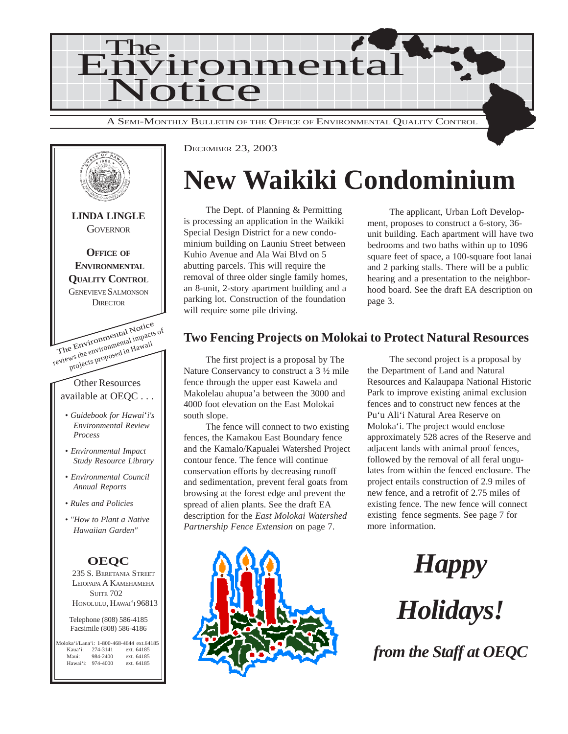



DECEMBER 23, 2003

## **New Waikiki Condominium**

The Dept. of Planning & Permitting is processing an application in the Waikiki Special Design District for a new condominium building on Launiu Street between Kuhio Avenue and Ala Wai Blvd on 5 abutting parcels. This will require the removal of three older single family homes, an 8-unit, 2-story apartment building and a parking lot. Construction of the foundation will require some pile driving.

The applicant, Urban Loft Development, proposes to construct a 6-story, 36 unit building. Each apartment will have two bedrooms and two baths within up to 1096 square feet of space, a 100-square foot lanai and 2 parking stalls. There will be a public hearing and a presentation to the neighborhood board. See the draft EA description on page 3.

#### **Two Fencing Projects on Molokai to Protect Natural Resources**

The first project is a proposal by The Nature Conservancy to construct a 3 ½ mile fence through the upper east Kawela and Makolelau ahupua'a between the 3000 and 4000 foot elevation on the East Molokai south slope.

The fence will connect to two existing fences, the Kamakou East Boundary fence and the Kamalo/Kapualei Watershed Project contour fence. The fence will continue conservation efforts by decreasing runoff and sedimentation, prevent feral goats from browsing at the forest edge and prevent the spread of alien plants. See the draft EA description for the *East Molokai Watershed Partnership Fence Extension* on page 7.



The second project is a proposal by the Department of Land and Natural Resources and Kalaupapa National Historic Park to improve existing animal exclusion fences and to construct new fences at the Pu'u Ali'i Natural Area Reserve on Moloka'i. The project would enclose approximately 528 acres of the Reserve and adjacent lands with animal proof fences, followed by the removal of all feral ungulates from within the fenced enclosure. The project entails construction of 2.9 miles of new fence, and a retrofit of 2.75 miles of existing fence. The new fence will connect existing fence segments. See page 7 for more information.

*Happy*

*Holidays!*

*from the Staff at OEQC*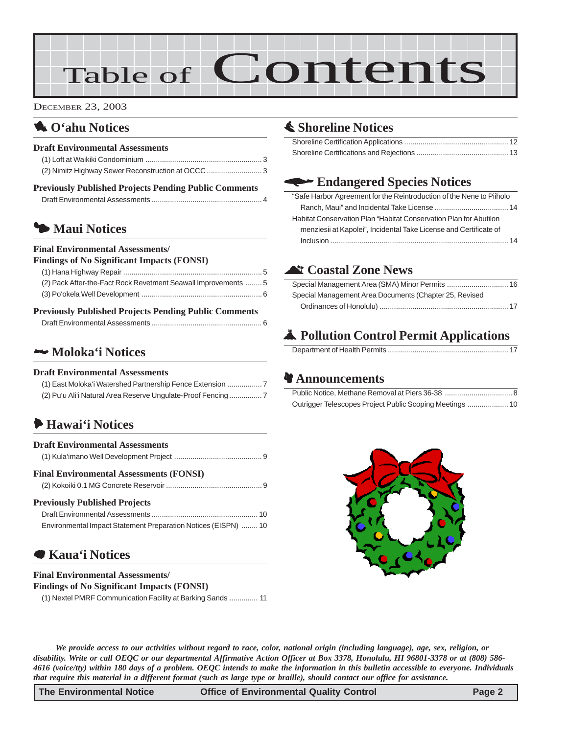# Table of Contents

DECEMBER 23, 2003

### 1 **O'ahu Notices**

#### **Draft Environmental Assessments**

| <b>Previously Published Projects Pending Public Comments</b> |  |
|--------------------------------------------------------------|--|
|                                                              |  |

### 3 **Maui Notices**

#### **Final Environmental Assessments/**

| <b>Findings of No Significant Impacts (FONSI)</b>              |  |
|----------------------------------------------------------------|--|
|                                                                |  |
| (2) Pack After-the-Fact Rock Revetment Seawall Improvements  5 |  |
|                                                                |  |

#### **Previously Published Projects Pending Public Comments**

|--|--|

#### 2 **[Moloka'i Notices](#page-6-0)**

#### **Draft Environmental Assessments**

| (1) East Moloka'i Watershed Partnership Fence Extension    |  |
|------------------------------------------------------------|--|
| (2) Pu'u Ali'i Natural Area Reserve Ungulate-Proof Fencing |  |

### 6 **Hawai'i Notices**

| <b>Draft Environmental Assessments</b>                                                                 |
|--------------------------------------------------------------------------------------------------------|
| <b>Final Environmental Assessments (FONSI)</b>                                                         |
| <b>Previously Published Projects</b><br>Environmental Impact Statement Preparation Notices (EISPN)  10 |

#### 7 **[Kaua'i Notices](#page-10-0)**

#### **Final Environmental Assessments/ Findings of No Significant Impacts (FONSI)**

[\(1\) Nextel PMRF Communication Facility at Barking Sands](#page-10-0) .............. 11

### s **[Shoreline Notices](#page-11-0)**

### w **Endangered Species Notices**

| "Safe Harbor Agreement for the Reintroduction of the Nene to Piiholo |  |
|----------------------------------------------------------------------|--|
|                                                                      |  |
| Habitat Conservation Plan "Habitat Conservation Plan for Abutilon    |  |
| menziesii at Kapolei", Incidental Take License and Certificate of    |  |
|                                                                      |  |

#### ^ **Coastal Zone News**

| Special Management Area Documents (Chapter 25, Revised |  |
|--------------------------------------------------------|--|
|                                                        |  |

### V **Pollution Control Permit Applications**

|--|

#### **& Announcements**



*We provide access to our activities without regard to race, color, national origin (including language), age, sex, religion, or disability. Write or call OEQC or our departmental Affirmative Action Officer at Box 3378, Honolulu, HI 96801-3378 or at (808) 586- 4616 (voice/tty) within 180 days of a problem. OEQC intends to make the information in this bulletin accessible to everyone. Individuals that require this material in a different format (such as large type or braille), should contact our office for assistance.*

**The Environmental Notice Control Control Control Page 2**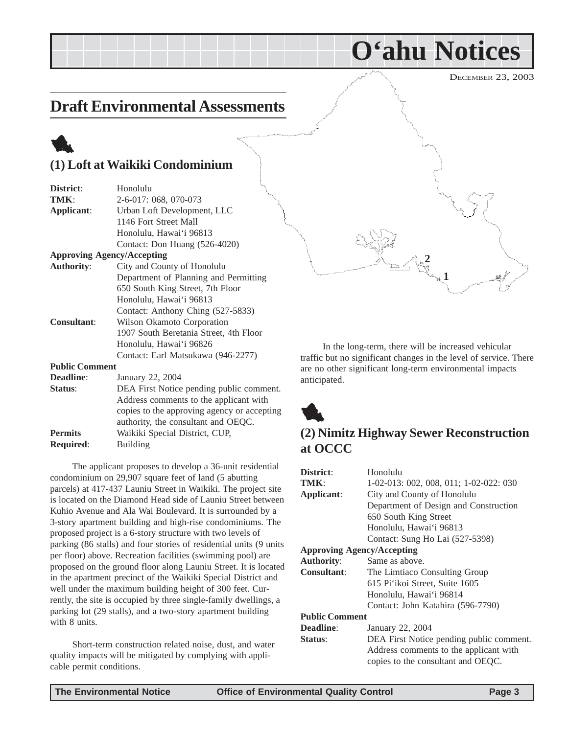### <span id="page-2-0"></span>**Draft Environmental Assessments**

## 1 **(1) Loft at Waikiki Condominium**

| District:             | Honolulu                               |
|-----------------------|----------------------------------------|
| TMK:                  | 2-6-017: 068, 070-073                  |
| Applicant:            | Urban Loft Development, LLC            |
|                       | 1146 Fort Street Mall                  |
|                       | Honolulu, Hawai'i 96813                |
|                       | Contact: Don Huang (526-4020)          |
|                       | <b>Approving Agency/Accepting</b>      |
| <b>Authority:</b>     | City and County of Honolulu            |
|                       | Department of Planning and Permitting  |
|                       | 650 South King Street, 7th Floor       |
|                       | Honolulu, Hawai'i 96813                |
|                       | Contact: Anthony Ching (527-5833)      |
| <b>Consultant:</b>    | Wilson Okamoto Corporation             |
|                       | 1907 South Beretania Street, 4th Floor |
|                       | Honolulu, Hawai'i 96826                |
|                       | Contact: Earl Matsukawa (946-2277)     |
| <b>Public Comment</b> |                                        |
| Deadline:             | January 22, 2004                       |
|                       |                                        |

| Deaunne.         | $J$ anuary $22, 200$                        |
|------------------|---------------------------------------------|
| Status:          | DEA First Notice pending public comment.    |
|                  | Address comments to the applicant with      |
|                  | copies to the approving agency or accepting |
|                  | authority, the consultant and OEQC.         |
| <b>Permits</b>   | Waikiki Special District, CUP.              |
| <b>Required:</b> | Building                                    |
|                  |                                             |

The applicant proposes to develop a 36-unit residential condominium on 29,907 square feet of land (5 abutting parcels) at 417-437 Launiu Street in Waikiki. The project site is located on the Diamond Head side of Launiu Street between Kuhio Avenue and Ala Wai Boulevard. It is surrounded by a 3-story apartment building and high-rise condominiums. The proposed project is a 6-story structure with two levels of parking (86 stalls) and four stories of residential units (9 units per floor) above. Recreation facilities (swimming pool) are proposed on the ground floor along Launiu Street. It is located in the apartment precinct of the Waikiki Special District and well under the maximum building height of 300 feet. Currently, the site is occupied by three single-family dwellings, a parking lot (29 stalls), and a two-story apartment building with 8 units.

Short-term construction related noise, dust, and water quality impacts will be mitigated by complying with applicable permit conditions.



**O'ahu Notices**

In the long-term, there will be increased vehicular traffic but no significant changes in the level of service. There are no other significant long-term environmental impacts anticipated.



### **(2) Nimitz Highway Sewer Reconstruction at OCCC**

| District:                         | Honolulu                                 |
|-----------------------------------|------------------------------------------|
| TMK:                              | 1-02-013: 002, 008, 011; 1-02-022: 030   |
| Applicant:                        | City and County of Honolulu              |
|                                   | Department of Design and Construction    |
|                                   | 650 South King Street                    |
|                                   | Honolulu, Hawai'i 96813                  |
|                                   | Contact: Sung Ho Lai (527-5398)          |
| <b>Approving Agency/Accepting</b> |                                          |
| <b>Authority:</b>                 | Same as above.                           |
| Consultant:                       | The Limitaco Consulting Group            |
|                                   | 615 Pi'ikoi Street, Suite 1605           |
|                                   | Honolulu, Hawai'i 96814                  |
|                                   | Contact: John Katahira (596-7790)        |
| <b>Public Comment</b>             |                                          |
| <b>Deadline:</b>                  | January 22, 2004                         |
| Status:                           | DEA First Notice pending public comment. |
|                                   | Address comments to the applicant with   |
|                                   | copies to the consultant and OEQC.       |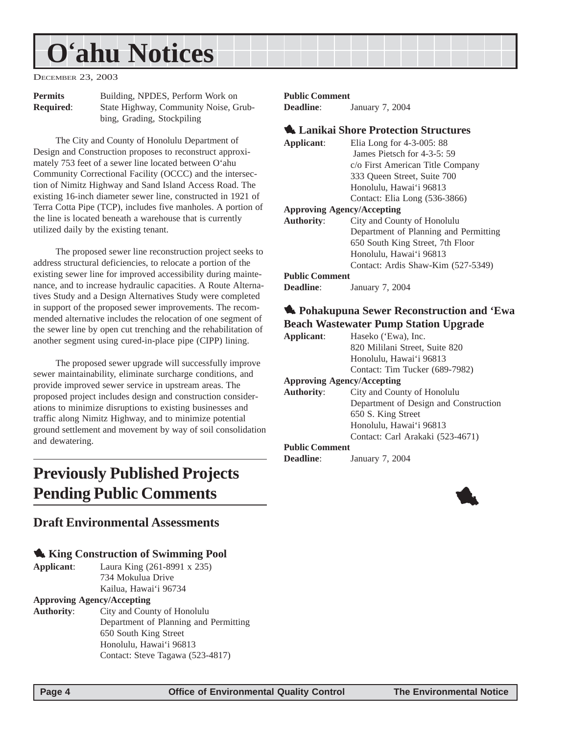## <span id="page-3-0"></span>**O'ahu Notices**

DECEMBER 23, 2003

| <b>Permits</b>   | Building, NPDES, Perform Work on      |
|------------------|---------------------------------------|
| <b>Required:</b> | State Highway, Community Noise, Grub- |
|                  | bing, Grading, Stockpiling            |

The City and County of Honolulu Department of Design and Construction proposes to reconstruct approximately 753 feet of a sewer line located between O'ahu Community Correctional Facility (OCCC) and the intersection of Nimitz Highway and Sand Island Access Road. The existing 16-inch diameter sewer line, constructed in 1921 of Terra Cotta Pipe (TCP), includes five manholes. A portion of the line is located beneath a warehouse that is currently utilized daily by the existing tenant.

The proposed sewer line reconstruction project seeks to address structural deficiencies, to relocate a portion of the existing sewer line for improved accessibility during maintenance, and to increase hydraulic capacities. A Route Alternatives Study and a Design Alternatives Study were completed in support of the proposed sewer improvements. The recommended alternative includes the relocation of one segment of the sewer line by open cut trenching and the rehabilitation of another segment using cured-in-place pipe (CIPP) lining.

The proposed sewer upgrade will successfully improve sewer maintainability, eliminate surcharge conditions, and provide improved sewer service in upstream areas. The proposed project includes design and construction considerations to minimize disruptions to existing businesses and traffic along Nimitz Highway, and to minimize potential ground settlement and movement by way of soil consolidation and dewatering.

## **Previously Published Projects Pending Public Comments**

#### **Draft Environmental Assessments**

#### 1 **King Construction of Swimming Pool**

**Applicant**: Laura King (261-8991 x 235) 734 Mokulua Drive Kailua, Hawai'i 96734

#### **Approving Agency/Accepting**

**Authority**: City and County of Honolulu Department of Planning and Permitting 650 South King Street Honolulu, Hawai'i 96813 Contact: Steve Tagawa (523-4817)

#### **Public Comment**

**Deadline**: January 7, 2004

#### 1 **Lanikai Shore Protection Structures**

| Applicant:                        | Elia Long for $4-3-005:88$            |
|-----------------------------------|---------------------------------------|
|                                   | James Pietsch for 4-3-5: 59           |
|                                   | c/o First American Title Company      |
|                                   | 333 Oueen Street, Suite 700           |
|                                   | Honolulu, Hawai'i 96813               |
|                                   | Contact: Elia Long (536-3866)         |
| <b>Approving Agency/Accepting</b> |                                       |
| <b>Authority:</b>                 | City and County of Honolulu           |
|                                   | Department of Planning and Permitting |
|                                   | 650 South King Street, 7th Floor      |
|                                   | Honolulu, Hawai'i 96813               |
|                                   | Contact: Ardis Shaw-Kim (527-5349)    |
|                                   |                                       |

#### **Public Comment**

**Deadline**: January 7, 2004

#### 1 **Pohakupuna Sewer Reconstruction and 'Ewa Beach Wastewater Pump Station Upgrade**

| Applicant:            | Haseko ('Ewa), Inc.                   |
|-----------------------|---------------------------------------|
|                       | 820 Mililani Street, Suite 820        |
|                       | Honolulu, Hawai'i 96813               |
|                       | Contact: Tim Tucker (689-7982)        |
|                       | <b>Approving Agency/Accepting</b>     |
| <b>Authority:</b>     | City and County of Honolulu           |
|                       | Department of Design and Construction |
|                       | 650 S. King Street                    |
|                       | Honolulu, Hawai'i 96813               |
|                       | Contact: Carl Arakaki (523-4671)      |
| <b>Public Comment</b> |                                       |
| <b>Deadline:</b>      | January 7, 2004                       |

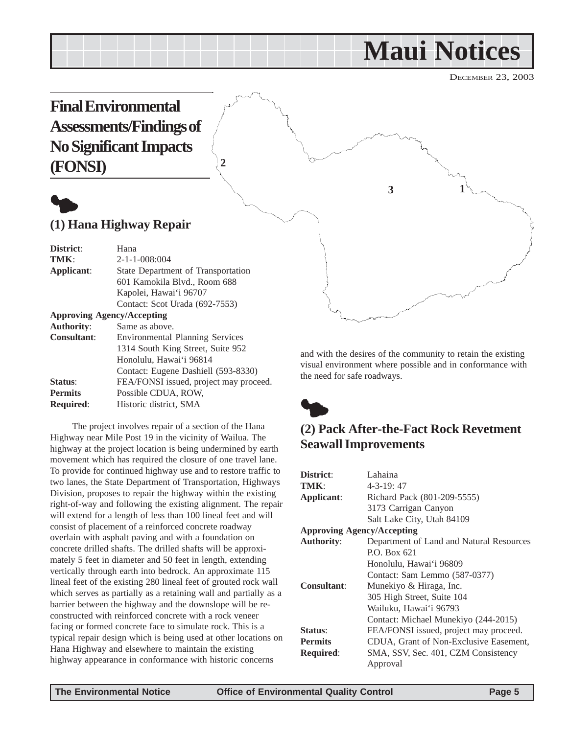## **Maui Notices**

DECEMBER 23, 2003

<span id="page-4-0"></span>**Final Environmental Assessments/Findings of No Significant Impacts (FONSI)**



#### **(1) Hana Highway Repair**

| District:          | Hana                                   |
|--------------------|----------------------------------------|
| TMK:               | $2 - 1 - 1 - 008:004$                  |
| Applicant:         | State Department of Transportation     |
|                    | 601 Kamokila Blvd., Room 688           |
|                    | Kapolei, Hawai'i 96707                 |
|                    | Contact: Scot Urada (692-7553)         |
|                    | <b>Approving Agency/Accepting</b>      |
| <b>Authority:</b>  | Same as above.                         |
| <b>Consultant:</b> | <b>Environmental Planning Services</b> |
|                    | 1314 South King Street, Suite 952      |
|                    | Honolulu, Hawai'i 96814                |
|                    | Contact: Eugene Dashiell (593-8330)    |
| Status:            | FEA/FONSI issued, project may proceed. |
| <b>Permits</b>     | Possible CDUA, ROW.                    |
| <b>Required:</b>   | Historic district, SMA                 |

**2**

The project involves repair of a section of the Hana Highway near Mile Post 19 in the vicinity of Wailua. The highway at the project location is being undermined by earth movement which has required the closure of one travel lane. To provide for continued highway use and to restore traffic to two lanes, the State Department of Transportation, Highways Division, proposes to repair the highway within the existing right-of-way and following the existing alignment. The repair will extend for a length of less than 100 lineal feet and will consist of placement of a reinforced concrete roadway overlain with asphalt paving and with a foundation on concrete drilled shafts. The drilled shafts will be approximately 5 feet in diameter and 50 feet in length, extending vertically through earth into bedrock. An approximate 115 lineal feet of the existing 280 lineal feet of grouted rock wall which serves as partially as a retaining wall and partially as a barrier between the highway and the downslope will be reconstructed with reinforced concrete with a rock veneer facing or formed concrete face to simulate rock. This is a typical repair design which is being used at other locations on Hana Highway and elsewhere to maintain the existing highway appearance in conformance with historic concerns

**1 3**

and with the desires of the community to retain the existing visual environment where possible and in conformance with the need for safe roadways.



### **(2) Pack After-the-Fact Rock Revetment Seawall Improvements**

| District:                         | Lahaina                                  |
|-----------------------------------|------------------------------------------|
| TMK:                              | $4 - 3 - 19$ : 47                        |
| Applicant:                        | Richard Pack (801-209-5555)              |
|                                   | 3173 Carrigan Canyon                     |
|                                   | Salt Lake City, Utah 84109               |
| <b>Approving Agency/Accepting</b> |                                          |
| <b>Authority:</b>                 | Department of Land and Natural Resources |
|                                   | P.O. Box 621                             |
|                                   | Honolulu, Hawai'i 96809                  |
|                                   | Contact: Sam Lemmo (587-0377)            |
| Consultant:                       | Munekiyo & Hiraga, Inc.                  |
|                                   | 305 High Street, Suite 104               |
|                                   | Wailuku, Hawai'i 96793                   |
|                                   | Contact: Michael Munekiyo (244-2015)     |
| Status:                           | FEA/FONSI issued, project may proceed.   |
| <b>Permits</b>                    | CDUA, Grant of Non-Exclusive Easement,   |
| <b>Required:</b>                  | SMA, SSV, Sec. 401, CZM Consistency      |
|                                   | Approval                                 |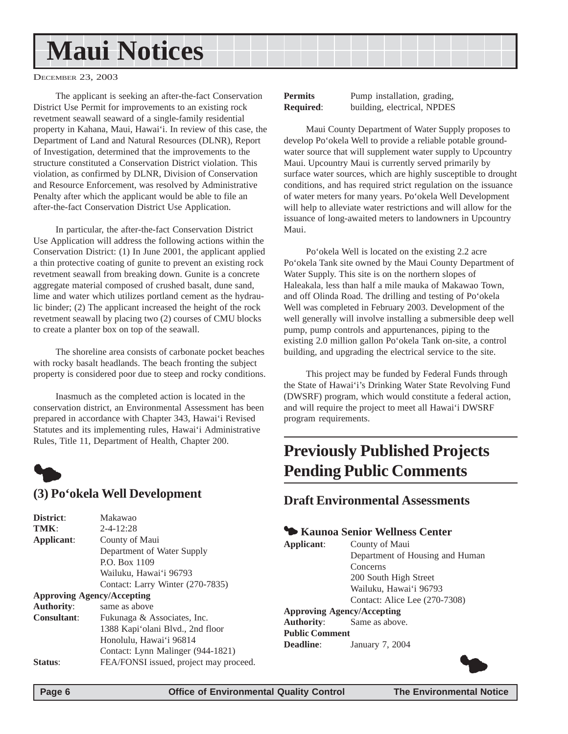## <span id="page-5-0"></span>**Maui Notices**

DECEMBER 23, 2003

The applicant is seeking an after-the-fact Conservation District Use Permit for improvements to an existing rock revetment seawall seaward of a single-family residential property in Kahana, Maui, Hawai'i. In review of this case, the Department of Land and Natural Resources (DLNR), Report of Investigation, determined that the improvements to the structure constituted a Conservation District violation. This violation, as confirmed by DLNR, Division of Conservation and Resource Enforcement, was resolved by Administrative Penalty after which the applicant would be able to file an after-the-fact Conservation District Use Application.

In particular, the after-the-fact Conservation District Use Application will address the following actions within the Conservation District: (1) In June 2001, the applicant applied a thin protective coating of gunite to prevent an existing rock revetment seawall from breaking down. Gunite is a concrete aggregate material composed of crushed basalt, dune sand, lime and water which utilizes portland cement as the hydraulic binder; (2) The applicant increased the height of the rock revetment seawall by placing two (2) courses of CMU blocks to create a planter box on top of the seawall.

The shoreline area consists of carbonate pocket beaches with rocky basalt headlands. The beach fronting the subject property is considered poor due to steep and rocky conditions.

Inasmuch as the completed action is located in the conservation district, an Environmental Assessment has been prepared in accordance with Chapter 343, Hawai'i Revised Statutes and its implementing rules, Hawai'i Administrative Rules, Title 11, Department of Health, Chapter 200.



#### **(3) Po'okela Well Development**

| District:                         | Makawao                                |
|-----------------------------------|----------------------------------------|
| TMK:                              | $2 - 4 - 12:28$                        |
| Applicant:                        | County of Maui                         |
|                                   | Department of Water Supply             |
|                                   | P.O. Box 1109                          |
|                                   | Wailuku, Hawai'i 96793                 |
|                                   | Contact: Larry Winter (270-7835)       |
| <b>Approving Agency/Accepting</b> |                                        |
| <b>Authority:</b>                 | same as above                          |
| <b>Consultant:</b>                | Fukunaga & Associates, Inc.            |
|                                   | 1388 Kapi'olani Blvd., 2nd floor       |
|                                   | Honolulu, Hawai'i 96814                |
|                                   | Contact: Lynn Malinger (944-1821)      |
| <b>Status:</b>                    | FEA/FONSI issued, project may proceed. |
|                                   |                                        |

**Permits** Pump installation, grading, **Required**: building, electrical, NPDES

Maui County Department of Water Supply proposes to develop Po'okela Well to provide a reliable potable groundwater source that will supplement water supply to Upcountry Maui. Upcountry Maui is currently served primarily by surface water sources, which are highly susceptible to drought conditions, and has required strict regulation on the issuance of water meters for many years. Po'okela Well Development will help to alleviate water restrictions and will allow for the issuance of long-awaited meters to landowners in Upcountry Maui.

Po'okela Well is located on the existing 2.2 acre Po'okela Tank site owned by the Maui County Department of Water Supply. This site is on the northern slopes of Haleakala, less than half a mile mauka of Makawao Town, and off Olinda Road. The drilling and testing of Po'okela Well was completed in February 2003. Development of the well generally will involve installing a submersible deep well pump, pump controls and appurtenances, piping to the existing 2.0 million gallon Po'okela Tank on-site, a control building, and upgrading the electrical service to the site.

This project may be funded by Federal Funds through the State of Hawai'i's Drinking Water State Revolving Fund (DWSRF) program, which would constitute a federal action, and will require the project to meet all Hawai'i DWSRF program requirements.

## **Previously Published Projects Pending Public Comments**

#### **Draft Environmental Assessments**

#### 3 **Kaunoa Senior Wellness Center**

**Applicant**: County of Maui Department of Housing and Human Concerns 200 South High Street Wailuku, Hawai'i 96793 Contact: Alice Lee (270-7308)

**Approving Agency/Accepting Authority**: Same as above. **Public Comment Deadline**: January 7, 2004

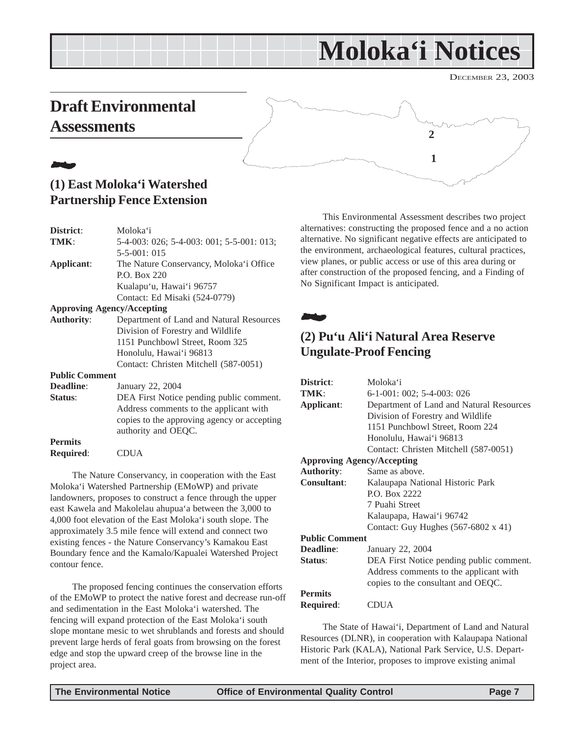## **Moloka'i Notices**

DECEMBER 23, 2003

## <span id="page-6-0"></span>**Draft Environmental Assessments**



### 21**. (1) East Moloka'i Watershed Partnership Fence Extension**

| District:             | Moloka'i                                  |
|-----------------------|-------------------------------------------|
| TMK:                  | 5-4-003: 026; 5-4-003: 001; 5-5-001: 013; |
|                       | $5 - 5 - 001$ : 015                       |
| Applicant:            | The Nature Conservancy, Moloka'i Office   |
|                       | P.O. Box 220                              |
|                       | Kualapu'u, Hawai'i 96757                  |
|                       | Contact: Ed Misaki (524-0779)             |
|                       | <b>Approving Agency/Accepting</b>         |
| <b>Authority:</b>     | Department of Land and Natural Resources  |
|                       | Division of Forestry and Wildlife         |
|                       | 1151 Punchbowl Street, Room 325           |
|                       | Honolulu, Hawai'i 96813                   |
|                       | Contact: Christen Mitchell (587-0051)     |
| <b>Public Comment</b> |                                           |
| <b>Deadline:</b>      | January 22, 2004                          |
| Status:               | DEA First Notice pending public comment.  |
|                       | Address comments to the applicant with    |

**Permits Required**: CDUA

The Nature Conservancy, in cooperation with the East Moloka'i Watershed Partnership (EMoWP) and private landowners, proposes to construct a fence through the upper east Kawela and Makolelau ahupua'a between the 3,000 to 4,000 foot elevation of the East Moloka'i south slope. The approximately 3.5 mile fence will extend and connect two existing fences - the Nature Conservancy's Kamakou East Boundary fence and the Kamalo/Kapualei Watershed Project contour fence.

authority and OEQC.

copies to the approving agency or accepting

The proposed fencing continues the conservation efforts of the EMoWP to protect the native forest and decrease run-off and sedimentation in the East Moloka'i watershed. The fencing will expand protection of the East Moloka'i south slope montane mesic to wet shrublands and forests and should prevent large herds of feral goats from browsing on the forest edge and stop the upward creep of the browse line in the project area.

This Environmental Assessment describes two project alternatives: constructing the proposed fence and a no action alternative. No significant negative effects are anticipated to the environment, archaeological features, cultural practices, view planes, or public access or use of this area during or after construction of the proposed fencing, and a Finding of No Significant Impact is anticipated.

22.

#### **(2) Pu'u Ali'i Natural Area Reserve Ungulate-Proof Fencing**

| District:                         | Moloka'i                                   |
|-----------------------------------|--------------------------------------------|
| TMK:                              | 6-1-001: 002; 5-4-003: 026                 |
| Applicant:                        | Department of Land and Natural Resources   |
|                                   | Division of Forestry and Wildlife          |
|                                   | 1151 Punchbowl Street, Room 224            |
|                                   | Honolulu, Hawai'i 96813                    |
|                                   | Contact: Christen Mitchell (587-0051)      |
| <b>Approving Agency/Accepting</b> |                                            |
| <b>Authority:</b>                 | Same as above.                             |
| <b>Consultant:</b>                | Kalaupapa National Historic Park           |
|                                   | P.O. Box 2222                              |
|                                   | 7 Puahi Street                             |
|                                   | Kalaupapa, Hawai'i 96742                   |
|                                   | Contact: Guy Hughes $(567-6802 \times 41)$ |
| <b>Public Comment</b>             |                                            |
| <b>Deadline:</b>                  | January 22, 2004                           |
| <b>Status:</b>                    | DEA First Notice pending public comment.   |
|                                   | Address comments to the applicant with     |
|                                   | copies to the consultant and OEQC.         |
| <b>Permits</b>                    |                                            |
| <b>Required:</b>                  | CDUA                                       |

The State of Hawai'i, Department of Land and Natural Resources (DLNR), in cooperation with Kalaupapa National Historic Park (KALA), National Park Service, U.S. Department of the Interior, proposes to improve existing animal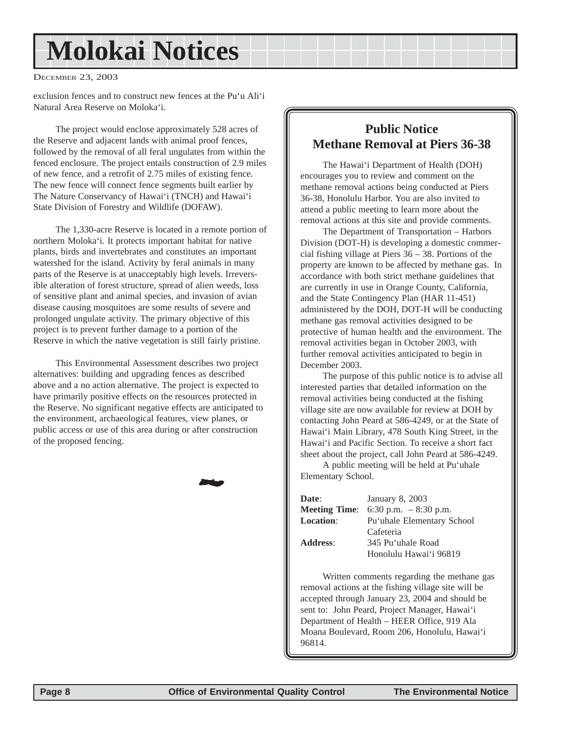## **Molokai Notices**

DECEMBER 23, 2003

exclusion fences and to construct new fences at the Pu'u Ali'i Natural Area Reserve on Moloka'i.

The project would enclose approximately 528 acres of the Reserve and adjacent lands with animal proof fences, followed by the removal of all feral ungulates from within the fenced enclosure. The project entails construction of 2.9 miles of new fence, and a retrofit of 2.75 miles of existing fence. The new fence will connect fence segments built earlier by The Nature Conservancy of Hawai'i (TNCH) and Hawai'i State Division of Forestry and Wildlife (DOFAW).

The 1,330-acre Reserve is located in a remote portion of northern Moloka'i. It protects important habitat for native plants, birds and invertebrates and constitutes an important watershed for the island. Activity by feral animals in many parts of the Reserve is at unacceptably high levels. Irreversible alteration of forest structure, spread of alien weeds, loss of sensitive plant and animal species, and invasion of avian disease causing mosquitoes are some results of severe and prolonged ungulate activity. The primary objective of this project is to prevent further damage to a portion of the Reserve in which the native vegetation is still fairly pristine.

This Environmental Assessment describes two project alternatives: building and upgrading fences as described above and a no action alternative. The project is expected to have primarily positive effects on the resources protected in the Reserve. No significant negative effects are anticipated to the environment, archaeological features, view planes, or public access or use of this area during or after construction of the proposed fencing.

20**2** 



The Hawai'i Department of Health (DOH) encourages you to review and comment on the methane removal actions being conducted at Piers 36-38, Honolulu Harbor. You are also invited to attend a public meeting to learn more about the removal actions at this site and provide comments.

The Department of Transportation – Harbors Division (DOT-H) is developing a domestic commercial fishing village at Piers 36 – 38. Portions of the property are known to be affected by methane gas. In accordance with both strict methane guidelines that are currently in use in Orange County, California, and the State Contingency Plan (HAR 11-451) administered by the DOH, DOT-H will be conducting methane gas removal activities designed to be protective of human health and the environment. The removal activities began in October 2003, with further removal activities anticipated to begin in December 2003.

The purpose of this public notice is to advise all interested parties that detailed information on the removal activities being conducted at the fishing village site are now available for review at DOH by contacting John Peard at 586-4249, or at the State of Hawai'i Main Library, 478 South King Street, in the Hawai'i and Pacific Section. To receive a short fact sheet about the project, call John Peard at 586-4249.

A public meeting will be held at Pu'uhale Elementary School.

| Date:            | January 8, 2003                             |
|------------------|---------------------------------------------|
|                  | <b>Meeting Time:</b> 6:30 p.m. $-8:30$ p.m. |
| <b>Location:</b> | Pu'uhale Elementary School                  |
|                  | Cafeteria                                   |
| <b>Address:</b>  | 345 Pu'uhale Road                           |
|                  | Honolulu Hawai'i 96819                      |

Written comments regarding the methane gas removal actions at the fishing village site will be accepted through January 23, 2004 and should be sent to: John Peard, Project Manager, Hawai'i Department of Health – HEER Office, 919 Ala Moana Boulevard, Room 206, Honolulu, Hawai'i 96814.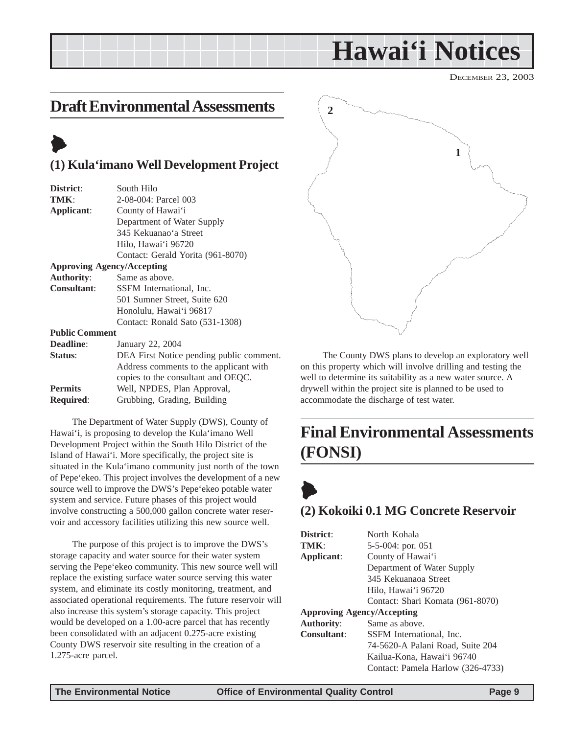## **Hawai'i Notices**

DECEMBER 23, 2003

### <span id="page-8-0"></span>**Draft Environmental Assessments**

## $\blacktriangleright$

#### **(1) Kula'imano Well Development Project**

| District:             | South Hilo                        |
|-----------------------|-----------------------------------|
| TMK:                  | 2-08-004: Parcel 003              |
| Applicant:            | County of Hawai'i                 |
|                       | Department of Water Supply        |
|                       | 345 Kekuanao'a Street             |
|                       | Hilo, Hawai'i 96720               |
|                       | Contact: Gerald Yorita (961-8070) |
|                       | <b>Approving Agency/Accepting</b> |
| <b>Authority:</b>     | Same as above.                    |
| <b>Consultant:</b>    | SSFM International, Inc.          |
|                       | 501 Sumner Street, Suite 620      |
|                       | Honolulu, Hawai'i 96817           |
|                       | Contact: Ronald Sato (531-1308)   |
| <b>Public Comment</b> |                                   |
| <b>Deadline:</b>      | January 22, 2004                  |
|                       |                                   |

| <b>Deadline:</b> | January 22, 2004                         |
|------------------|------------------------------------------|
| Status:          | DEA First Notice pending public comment. |
|                  | Address comments to the applicant with   |
|                  | copies to the consultant and OEQC.       |
| <b>Permits</b>   | Well, NPDES, Plan Approval,              |
| <b>Required:</b> | Grubbing, Grading, Building              |
|                  |                                          |

The Department of Water Supply (DWS), County of Hawai'i, is proposing to develop the Kula'imano Well Development Project within the South Hilo District of the Island of Hawai'i. More specifically, the project site is situated in the Kula'imano community just north of the town of Pepe'ekeo. This project involves the development of a new source well to improve the DWS's Pepe'ekeo potable water system and service. Future phases of this project would involve constructing a 500,000 gallon concrete water reservoir and accessory facilities utilizing this new source well.

The purpose of this project is to improve the DWS's storage capacity and water source for their water system serving the Pepe'ekeo community. This new source well will replace the existing surface water source serving this water system, and eliminate its costly monitoring, treatment, and associated operational requirements. The future reservoir will also increase this system's storage capacity. This project would be developed on a 1.00-acre parcel that has recently been consolidated with an adjacent 0.275-acre existing County DWS reservoir site resulting in the creation of a 1.275-acre parcel.



The County DWS plans to develop an exploratory well on this property which will involve drilling and testing the well to determine its suitability as a new water source. A drywell within the project site is planned to be used to accommodate the discharge of test water.

## **Final Environmental Assessments (FONSI)**

## $\blacklozenge$ **(2) Kokoiki 0.1 MG Concrete Reservoir**

| District:                         | North Kohala                      |  |  |
|-----------------------------------|-----------------------------------|--|--|
| TMK:                              | $5-5-004$ : por. 051              |  |  |
| Applicant:                        | County of Hawai'i                 |  |  |
|                                   | Department of Water Supply        |  |  |
|                                   | 345 Kekuanaoa Street              |  |  |
|                                   | Hilo, Hawai'i 96720               |  |  |
|                                   | Contact: Shari Komata (961-8070)  |  |  |
| <b>Approving Agency/Accepting</b> |                                   |  |  |
| <b>Authority:</b>                 | Same as above.                    |  |  |
| <b>Consultant:</b>                | SSFM International, Inc.          |  |  |
|                                   | 74-5620-A Palani Road, Suite 204  |  |  |
|                                   | Kailua-Kona, Hawaiʻi 96740        |  |  |
|                                   | Contact: Pamela Harlow (326-4733) |  |  |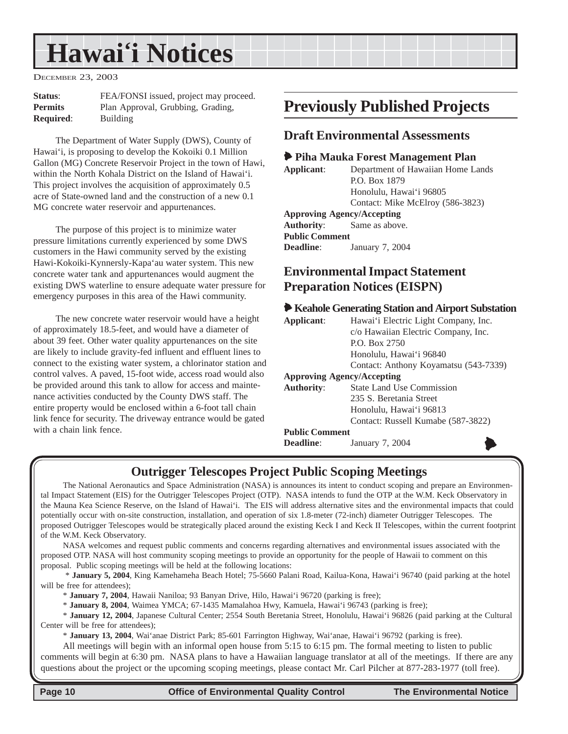## <span id="page-9-0"></span>**Hawai'i Notices**

DECEMBER 23, 2003

| <b>Status:</b>   | FEA/FONSI issued, project may proceed. |
|------------------|----------------------------------------|
| <b>Permits</b>   | Plan Approval, Grubbing, Grading,      |
| <b>Required:</b> | <b>Building</b>                        |

The Department of Water Supply (DWS), County of Hawai'i, is proposing to develop the Kokoiki 0.1 Million Gallon (MG) Concrete Reservoir Project in the town of Hawi, within the North Kohala District on the Island of Hawai'i. This project involves the acquisition of approximately 0.5 acre of State-owned land and the construction of a new 0.1 MG concrete water reservoir and appurtenances.

The purpose of this project is to minimize water pressure limitations currently experienced by some DWS customers in the Hawi community served by the existing Hawi-Kokoiki-Kynnersly-Kapa'au water system. This new concrete water tank and appurtenances would augment the existing DWS waterline to ensure adequate water pressure for emergency purposes in this area of the Hawi community.

The new concrete water reservoir would have a height of approximately 18.5-feet, and would have a diameter of about 39 feet. Other water quality appurtenances on the site are likely to include gravity-fed influent and effluent lines to connect to the existing water system, a chlorinator station and control valves. A paved, 15-foot wide, access road would also be provided around this tank to allow for access and maintenance activities conducted by the County DWS staff. The entire property would be enclosed within a 6-foot tall chain link fence for security. The driveway entrance would be gated with a chain link fence.

### **Previously Published Projects**

#### **Draft Environmental Assessments**

#### 6 **Piha Mauka Forest Management Plan**

| Applicant:                        | Department of Hawaiian Home Lands |
|-----------------------------------|-----------------------------------|
|                                   | P.O. Box 1879                     |
|                                   | Honolulu, Hawai'i 96805           |
|                                   | Contact: Mike McElroy (586-3823)  |
| <b>Approving Agency/Accepting</b> |                                   |
|                                   |                                   |

**Authority**: Same as above.

**Public Comment Deadline**: January 7, 2004

#### **Environmental Impact Statement Preparation Notices (EISPN)**

#### 6 **Keahole Generating Station and Airport Substation**

| Applicant:            | Hawai'i Electric Light Company, Inc.<br>c/o Hawaiian Electric Company, Inc. |  |  |
|-----------------------|-----------------------------------------------------------------------------|--|--|
|                       | P.O. Box 2750                                                               |  |  |
|                       | Honolulu, Hawai'i 96840                                                     |  |  |
|                       | Contact: Anthony Koyamatsu (543-7339)                                       |  |  |
|                       | <b>Approving Agency/Accepting</b>                                           |  |  |
| <b>Authority:</b>     | <b>State Land Use Commission</b>                                            |  |  |
|                       | 235 S. Beretania Street                                                     |  |  |
|                       | Honolulu, Hawai'i 96813                                                     |  |  |
|                       | Contact: Russell Kumabe (587-3822)                                          |  |  |
| <b>Public Comment</b> |                                                                             |  |  |
| Deadline:             | January 7, 2004                                                             |  |  |

#### **Outrigger Telescopes Project Public Scoping Meetings**

The National Aeronautics and Space Administration (NASA) is announces its intent to conduct scoping and prepare an Environmental Impact Statement (EIS) for the Outrigger Telescopes Project (OTP). NASA intends to fund the OTP at the W.M. Keck Observatory in the Mauna Kea Science Reserve, on the Island of Hawai'i. The EIS will address alternative sites and the environmental impacts that could potentially occur with on-site construction, installation, and operation of six 1.8-meter (72-inch) diameter Outrigger Telescopes. The proposed Outrigger Telescopes would be strategically placed around the existing Keck I and Keck II Telescopes, within the current footprint of the W.M. Keck Observatory.

NASA welcomes and request public comments and concerns regarding alternatives and environmental issues associated with the proposed OTP. NASA will host community scoping meetings to provide an opportunity for the people of Hawaii to comment on this proposal. Public scoping meetings will be held at the following locations:

 \* **January 5, 2004**, King Kamehameha Beach Hotel; 75-5660 Palani Road, Kailua-Kona, Hawai'i 96740 (paid parking at the hotel will be free for attendees);

\* **January 7, 2004**, Hawaii Naniloa; 93 Banyan Drive, Hilo, Hawai'i 96720 (parking is free);

\* **January 8, 2004**, Waimea YMCA; 67-1435 Mamalahoa Hwy, Kamuela, Hawai'i 96743 (parking is free);

\* **January 12, 2004**, Japanese Cultural Center; 2554 South Beretania Street, Honolulu, Hawai'i 96826 (paid parking at the Cultural Center will be free for attendees);

\* **January 13, 2004**, Wai'anae District Park; 85-601 Farrington Highway, Wai'anae, Hawai'i 96792 (parking is free).

All meetings will begin with an informal open house from 5:15 to 6:15 pm. The formal meeting to listen to public comments will begin at 6:30 pm. NASA plans to have a Hawaiian language translator at all of the meetings. If there are any questions about the project or the upcoming scoping meetings, please contact Mr. Carl Pilcher at 877-283-1977 (toll free).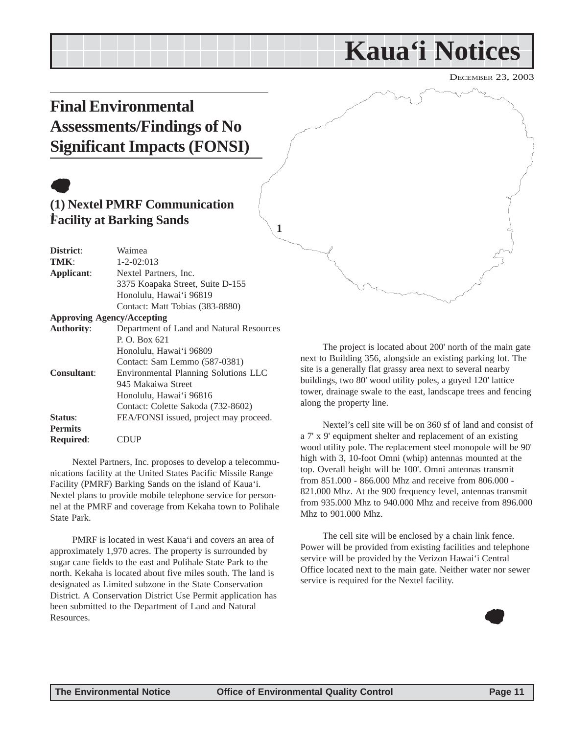## **Kaua'i Notices**

DECEMBER 23, 2003

## <span id="page-10-0"></span>**Final Environmental Assessments/Findings of No Significant Impacts (FONSI)**

## $\bullet$

#### **(1) Nextel PMRF Communication Facility at Barking Sands 1**

| Waimea                                   |  |  |
|------------------------------------------|--|--|
| $1 - 2 - 02:013$                         |  |  |
| Nextel Partners, Inc.                    |  |  |
| 3375 Koapaka Street, Suite D-155         |  |  |
| Honolulu, Hawai'i 96819                  |  |  |
| Contact: Matt Tobias (383-8880)          |  |  |
| <b>Approving Agency/Accepting</b>        |  |  |
| Department of Land and Natural Resources |  |  |
| P. O. Box 621                            |  |  |
| Honolulu, Hawai'i 96809                  |  |  |
| Contact: Sam Lemmo (587-0381)            |  |  |
| Environmental Planning Solutions LLC     |  |  |
| 945 Makaiwa Street                       |  |  |
| Honolulu, Hawai'i 96816                  |  |  |
| Contact: Colette Sakoda (732-8602)       |  |  |
| FEA/FONSI issued, project may proceed.   |  |  |
|                                          |  |  |
|                                          |  |  |
|                                          |  |  |

Nextel Partners, Inc. proposes to develop a telecommunications facility at the United States Pacific Missile Range Facility (PMRF) Barking Sands on the island of Kaua'i. Nextel plans to provide mobile telephone service for personnel at the PMRF and coverage from Kekaha town to Polihale State Park.

PMRF is located in west Kaua'i and covers an area of approximately 1,970 acres. The property is surrounded by sugar cane fields to the east and Polihale State Park to the north. Kekaha is located about five miles south. The land is designated as Limited subzone in the State Conservation District. A Conservation District Use Permit application has been submitted to the Department of Land and Natural Resources.

The project is located about 200' north of the main gate next to Building 356, alongside an existing parking lot. The site is a generally flat grassy area next to several nearby buildings, two 80' wood utility poles, a guyed 120' lattice tower, drainage swale to the east, landscape trees and fencing along the property line.

Nextel's cell site will be on 360 sf of land and consist of a 7' x 9' equipment shelter and replacement of an existing wood utility pole. The replacement steel monopole will be 90' high with 3, 10-foot Omni (whip) antennas mounted at the top. Overall height will be 100'. Omni antennas transmit from 851.000 - 866.000 Mhz and receive from 806.000 - 821.000 Mhz. At the 900 frequency level, antennas transmit from 935.000 Mhz to 940.000 Mhz and receive from 896.000 Mhz to 901.000 Mhz.

The cell site will be enclosed by a chain link fence. Power will be provided from existing facilities and telephone service will be provided by the Verizon Hawai'i Central Office located next to the main gate. Neither water nor sewer service is required for the Nextel facility.



**1**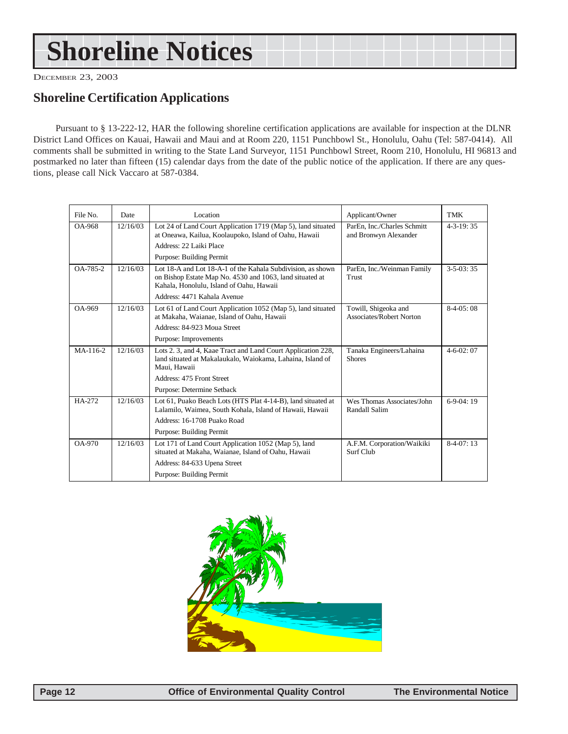## <span id="page-11-0"></span>**Shoreline Notices**

DECEMBER 23, 2003

#### **Shoreline Certification Applications**

Pursuant to § 13-222-12, HAR the following shoreline certification applications are available for inspection at the DLNR District Land Offices on Kauai, Hawaii and Maui and at Room 220, 1151 Punchbowl St., Honolulu, Oahu (Tel: 587-0414). All comments shall be submitted in writing to the State Land Surveyor, 1151 Punchbowl Street, Room 210, Honolulu, HI 96813 and postmarked no later than fifteen (15) calendar days from the date of the public notice of the application. If there are any questions, please call Nick Vaccaro at 587-0384.

| File No. | Date     | Location                                                                                                                                                            | Applicant/Owner                                      | TMK               |
|----------|----------|---------------------------------------------------------------------------------------------------------------------------------------------------------------------|------------------------------------------------------|-------------------|
| OA-968   | 12/16/03 | Lot 24 of Land Court Application 1719 (Map 5), land situated<br>at Oneawa, Kailua, Koolaupoko, Island of Oahu, Hawaii                                               | ParEn, Inc./Charles Schmitt<br>and Bronwyn Alexander | $4 - 3 - 19:35$   |
|          |          | Address: 22 Laiki Place                                                                                                                                             |                                                      |                   |
|          |          | Purpose: Building Permit                                                                                                                                            |                                                      |                   |
| OA-785-2 | 12/16/03 | Lot 18-A and Lot 18-A-1 of the Kahala Subdivision, as shown<br>on Bishop Estate Map No. 4530 and 1063, land situated at<br>Kahala, Honolulu, Island of Oahu, Hawaii | ParEn, Inc./Weinman Family<br>Trust                  | $3-5-03:35$       |
|          |          | Address: 4471 Kahala Avenue                                                                                                                                         |                                                      |                   |
| OA-969   | 12/16/03 | Lot 61 of Land Court Application 1052 (Map 5), land situated<br>at Makaha, Waianae, Island of Oahu, Hawaii                                                          | Towill, Shigeoka and<br>Associates/Robert Norton     | $8-4-05:08$       |
|          |          | Address: 84-923 Moua Street                                                                                                                                         |                                                      |                   |
|          |          | Purpose: Improvements                                                                                                                                               |                                                      |                   |
| MA-116-2 | 12/16/03 | Lots 2. 3, and 4, Kaae Tract and Land Court Application 228,<br>land situated at Makalaukalo, Waiokama, Lahaina, Island of<br>Maui. Hawaii                          | Tanaka Engineers/Lahaina<br><b>Shores</b>            | $4 - 6 - 02$ : 07 |
|          |          | Address: 475 Front Street                                                                                                                                           |                                                      |                   |
|          |          | Purpose: Determine Setback                                                                                                                                          |                                                      |                   |
| HA-272   | 12/16/03 | Lot 61, Puako Beach Lots (HTS Plat 4-14-B), land situated at<br>Lalamilo, Waimea, South Kohala, Island of Hawaii, Hawaii                                            | Wes Thomas Associates/John<br>Randall Salim          | $6-9-04:19$       |
|          |          | Address: 16-1708 Puako Road                                                                                                                                         |                                                      |                   |
|          |          | Purpose: Building Permit                                                                                                                                            |                                                      |                   |
| OA-970   | 12/16/03 | Lot 171 of Land Court Application 1052 (Map 5), land<br>situated at Makaha, Waianae, Island of Oahu, Hawaii                                                         | A.F.M. Corporation/Waikiki<br>Surf Club              | $8-4-07:13$       |
|          |          | Address: 84-633 Upena Street                                                                                                                                        |                                                      |                   |
|          |          | Purpose: Building Permit                                                                                                                                            |                                                      |                   |

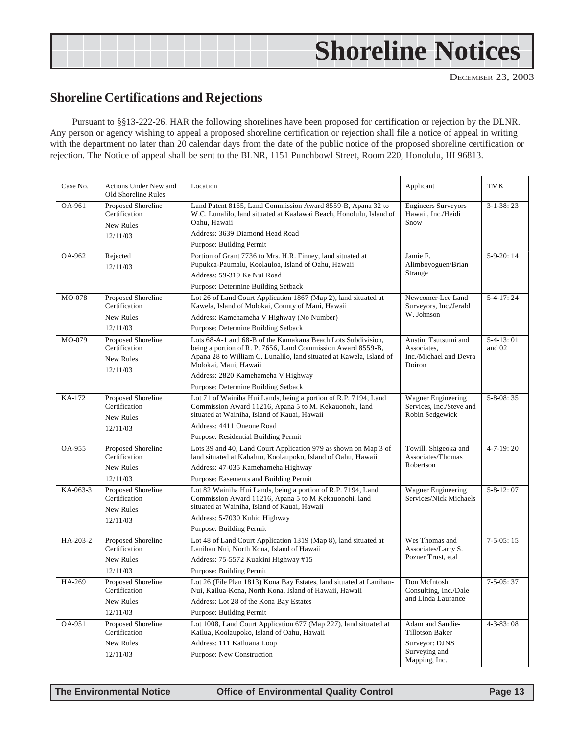## <span id="page-12-0"></span>**Shoreline Notices**

#### **Shoreline Certifications and Rejections**

Pursuant to §§13-222-26, HAR the following shorelines have been proposed for certification or rejection by the DLNR. Any person or agency wishing to appeal a proposed shoreline certification or rejection shall file a notice of appeal in writing with the department no later than 20 calendar days from the date of the public notice of the proposed shoreline certification or rejection. The Notice of appeal shall be sent to the BLNR, 1151 Punchbowl Street, Room 220, Honolulu, HI 96813.

| Case No. | Actions Under New and<br>Old Shoreline Rules     | Location                                                                                                                                                              | Applicant                                                | TMK                   |
|----------|--------------------------------------------------|-----------------------------------------------------------------------------------------------------------------------------------------------------------------------|----------------------------------------------------------|-----------------------|
| OA-961   | Proposed Shoreline<br>Certification<br>New Rules | Land Patent 8165, Land Commission Award 8559-B, Apana 32 to<br>W.C. Lunalilo, land situated at Kaalawai Beach, Honolulu, Island of<br>Oahu, Hawaii                    | <b>Engineers Surveyors</b><br>Hawaii, Inc./Heidi<br>Snow | $3 - 1 - 38:23$       |
|          | 12/11/03                                         | Address: 3639 Diamond Head Road                                                                                                                                       |                                                          |                       |
|          |                                                  | Purpose: Building Permit                                                                                                                                              |                                                          |                       |
| OA-962   | Rejected<br>12/11/03                             | Portion of Grant 7736 to Mrs. H.R. Finney, land situated at<br>Pupukea-Paumalu, Koolauloa, Island of Oahu, Hawaii                                                     | Jamie F.<br>Alimboyoguen/Brian<br>Strange                | $5-9-20:14$           |
|          |                                                  | Address: 59-319 Ke Nui Road                                                                                                                                           |                                                          |                       |
|          |                                                  | Purpose: Determine Building Setback                                                                                                                                   |                                                          |                       |
| MO-078   | Proposed Shoreline<br>Certification              | Lot 26 of Land Court Application 1867 (Map 2), land situated at<br>Kawela, Island of Molokai, County of Maui, Hawaii                                                  | Newcomer-Lee Land<br>Surveyors, Inc./Jerald              | $5 - 4 - 17:24$       |
|          | New Rules                                        | Address: Kamehameha V Highway (No Number)                                                                                                                             | W. Johnson                                               |                       |
|          | 12/11/03                                         | Purpose: Determine Building Setback                                                                                                                                   |                                                          |                       |
| MO-079   | Proposed Shoreline<br>Certification              | Lots 68-A-1 and 68-B of the Kamakana Beach Lots Subdivision,<br>being a portion of R. P. 7656, Land Commission Award 8559-B,                                          | Austin, Tsutsumi and<br>Associates.                      | $5-4-13:01$<br>and 02 |
|          | New Rules                                        | Apana 28 to William C. Lunalilo, land situated at Kawela, Island of<br>Molokai, Maui, Hawaii                                                                          | Inc./Michael and Devra<br>Doiron                         |                       |
|          | 12/11/03                                         | Address: 2820 Kamehameha V Highway                                                                                                                                    |                                                          |                       |
|          |                                                  | Purpose: Determine Building Setback                                                                                                                                   |                                                          |                       |
| KA-172   | Proposed Shoreline                               | Lot 71 of Wainiha Hui Lands, being a portion of R.P. 7194, Land                                                                                                       | <b>Wagner Engineering</b>                                | $5 - 8 - 08:35$       |
|          | Certification                                    | Commission Award 11216, Apana 5 to M. Kekauonohi, land                                                                                                                | Services, Inc./Steve and                                 |                       |
|          | New Rules                                        | situated at Wainiha, Island of Kauai, Hawaii                                                                                                                          | Robin Sedgewick                                          |                       |
|          | 12/11/03                                         | Address: 4411 Oneone Road                                                                                                                                             |                                                          |                       |
|          |                                                  | Purpose: Residential Building Permit                                                                                                                                  |                                                          |                       |
| OA-955   | Proposed Shoreline<br>Certification              | Lots 39 and 40, Land Court Application 979 as shown on Map 3 of<br>land situated at Kahaluu, Koolaupoko, Island of Oahu, Hawaii                                       | Towill, Shigeoka and<br>Associates/Thomas                | $4 - 7 - 19:20$       |
|          | New Rules                                        | Address: 47-035 Kamehameha Highway                                                                                                                                    | Robertson                                                |                       |
|          | 12/11/03                                         | Purpose: Easements and Building Permit                                                                                                                                |                                                          |                       |
| KA-063-3 | Proposed Shoreline<br>Certification              | Lot 82 Wainiha Hui Lands, being a portion of R.P. 7194, Land<br>Commission Award 11216, Apana 5 to M Kekauonohi, land<br>situated at Wainiha, Island of Kauai, Hawaii | <b>Wagner Engineering</b><br>Services/Nick Michaels      | $5 - 8 - 12$ : 07     |
|          | New Rules                                        | Address: 5-7030 Kuhio Highway                                                                                                                                         |                                                          |                       |
|          | 12/11/03                                         | Purpose: Building Permit                                                                                                                                              |                                                          |                       |
| HA-203-2 | Proposed Shoreline                               | Lot 48 of Land Court Application 1319 (Map 8), land situated at                                                                                                       | Wes Thomas and                                           | $7-5-05:15$           |
|          | Certification<br>New Rules                       | Lanihau Nui, North Kona, Island of Hawaii<br>Address: 75-5572 Kuakini Highway #15                                                                                     | Associates/Larry S.<br>Pozner Trust, etal                |                       |
|          | 12/11/03                                         | Purpose: Building Permit                                                                                                                                              |                                                          |                       |
| HA-269   |                                                  | Lot 26 (File Plan 1813) Kona Bay Estates, land situated at Lanihau-                                                                                                   | Don McIntosh                                             | $7-5-05:37$           |
|          | Proposed Shoreline<br>Certification              | Nui, Kailua-Kona, North Kona, Island of Hawaii, Hawaii                                                                                                                | Consulting, Inc./Dale                                    |                       |
|          | New Rules                                        | Address: Lot 28 of the Kona Bay Estates                                                                                                                               | and Linda Laurance                                       |                       |
|          | 12/11/03                                         | Purpose: Building Permit                                                                                                                                              |                                                          |                       |
| OA-951   | Proposed Shoreline<br>Certification              | Lot 1008, Land Court Application 677 (Map 227), land situated at<br>Kailua, Koolaupoko, Island of Oahu, Hawaii                                                        | Adam and Sandie-<br><b>Tillotson Baker</b>               | $4 - 3 - 83:08$       |
|          | New Rules                                        | Address: 111 Kailuana Loop                                                                                                                                            | Surveyor: DJNS                                           |                       |
|          | 12/11/03                                         | Purpose: New Construction                                                                                                                                             | Surveying and<br>Mapping, Inc.                           |                       |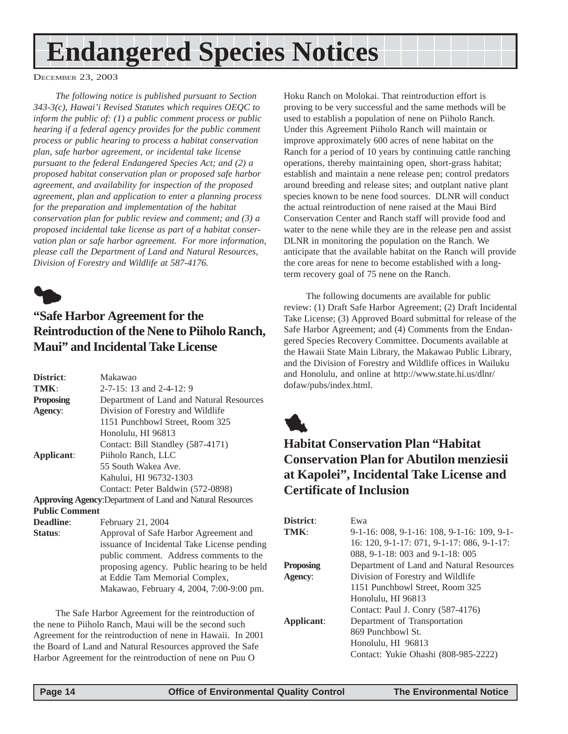## <span id="page-13-0"></span>**Endangered Species Notices**

DECEMBER 23, 2003

*The following notice is published pursuant to Section 343-3(c), Hawai'i Revised Statutes which requires OEQC to inform the public of: (1) a public comment process or public hearing if a federal agency provides for the public comment process or public hearing to process a habitat conservation plan, safe harbor agreement, or incidental take license pursuant to the federal Endangered Species Act; and (2) a proposed habitat conservation plan or proposed safe harbor agreement, and availability for inspection of the proposed agreement, plan and application to enter a planning process for the preparation and implementation of the habitat conservation plan for public review and comment; and (3) a proposed incidental take license as part of a habitat conservation plan or safe harbor agreement. For more information, please call the Department of Land and Natural Resources, Division of Forestry and Wildlife at 587-4176.*



### **"Safe Harbor Agreement for the Reintroduction of the Nene to Piiholo Ranch, Maui" and Incidental Take License**

| District:             | Makawao                                                           |  |  |
|-----------------------|-------------------------------------------------------------------|--|--|
| TMK:                  | $2-7-15$ : 13 and $2-4-12$ : 9                                    |  |  |
| <b>Proposing</b>      | Department of Land and Natural Resources                          |  |  |
| Agency:               | Division of Forestry and Wildlife                                 |  |  |
|                       | 1151 Punchbowl Street, Room 325                                   |  |  |
|                       | Honolulu, HI 96813                                                |  |  |
|                       | Contact: Bill Standley (587-4171)                                 |  |  |
| Applicant:            | Piiholo Ranch, LLC                                                |  |  |
|                       | 55 South Wakea Ave.                                               |  |  |
|                       | Kahului, HI 96732-1303                                            |  |  |
|                       | Contact: Peter Baldwin (572-0898)                                 |  |  |
|                       | <b>Approving Agency: Department of Land and Natural Resources</b> |  |  |
| <b>Public Comment</b> |                                                                   |  |  |
| <b>Deadline:</b>      | February 21, 2004                                                 |  |  |
| Status:               | Approval of Safe Harbor Agreement and                             |  |  |
|                       | icouranos of Inoidentel Teles License nondino                     |  |  |

issuance of Incidental Take License pending public comment. Address comments to the proposing agency. Public hearing to be held at Eddie Tam Memorial Complex, Makawao, February 4, 2004, 7:00-9:00 pm.

The Safe Harbor Agreement for the reintroduction of the nene to Piiholo Ranch, Maui will be the second such Agreement for the reintroduction of nene in Hawaii. In 2001 the Board of Land and Natural Resources approved the Safe Harbor Agreement for the reintroduction of nene on Puu O

Hoku Ranch on Molokai. That reintroduction effort is proving to be very successful and the same methods will be used to establish a population of nene on Piiholo Ranch. Under this Agreement Piiholo Ranch will maintain or improve approximately 600 acres of nene habitat on the Ranch for a period of 10 years by continuing cattle ranching operations, thereby maintaining open, short-grass habitat; establish and maintain a nene release pen; control predators around breeding and release sites; and outplant native plant species known to be nene food sources. DLNR will conduct the actual reintroduction of nene raised at the Maui Bird Conservation Center and Ranch staff will provide food and water to the nene while they are in the release pen and assist DLNR in monitoring the population on the Ranch. We anticipate that the available habitat on the Ranch will provide the core areas for nene to become established with a longterm recovery goal of 75 nene on the Ranch.

The following documents are available for public review: (1) Draft Safe Harbor Agreement; (2) Draft Incidental Take License; (3) Approved Board submittal for release of the Safe Harbor Agreement; and (4) Comments from the Endangered Species Recovery Committee. Documents available at the Hawaii State Main Library, the Makawao Public Library, and the Division of Forestry and Wildlife offices in Wailuku and Honolulu, and online at http://www.state.hi.us/dlnr/ dofaw/pubs/index.html.

1

### **Habitat Conservation Plan "Habitat Conservation Plan for Abutilon menziesii at Kapolei", Incidental Take License and Certificate of Inclusion**

| District:        | Ewa                                                    |
|------------------|--------------------------------------------------------|
| TMK:             | $9-1-16$ : 008, $9-1-16$ : 108, $9-1-16$ : 109, $9-1-$ |
|                  | 16: 120, 9-1-17: 071, 9-1-17: 086, 9-1-17:             |
|                  | 088, 9-1-18: 003 and 9-1-18: 005                       |
| <b>Proposing</b> | Department of Land and Natural Resources               |
| <b>Agency:</b>   | Division of Forestry and Wildlife                      |
|                  | 1151 Punchbowl Street, Room 325                        |
|                  | Honolulu, HI 96813                                     |
|                  | Contact: Paul J. Conry (587-4176)                      |
| Applicant:       | Department of Transportation                           |
|                  | 869 Punchbowl St.                                      |
|                  | Honolulu, HI 96813                                     |
|                  | Contact: Yukie Ohashi (808-985-2222)                   |
|                  |                                                        |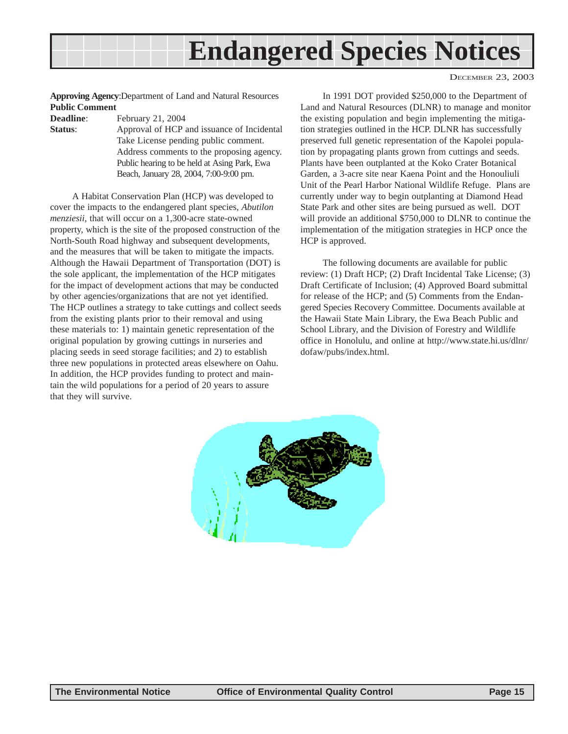

DECEMBER 23, 2003

**Approving Agency**:Department of Land and Natural Resources **Public Comment**

**Deadline**: February 21, 2004

**Status**: Approval of HCP and issuance of Incidental Take License pending public comment. Address comments to the proposing agency. Public hearing to be held at Asing Park, Ewa Beach, January 28, 2004, 7:00-9:00 pm.

A Habitat Conservation Plan (HCP) was developed to cover the impacts to the endangered plant species*, Abutilon menziesii*, that will occur on a 1,300-acre state-owned property, which is the site of the proposed construction of the North-South Road highway and subsequent developments, and the measures that will be taken to mitigate the impacts. Although the Hawaii Department of Transportation (DOT) is the sole applicant, the implementation of the HCP mitigates for the impact of development actions that may be conducted by other agencies/organizations that are not yet identified. The HCP outlines a strategy to take cuttings and collect seeds from the existing plants prior to their removal and using these materials to: 1) maintain genetic representation of the original population by growing cuttings in nurseries and placing seeds in seed storage facilities; and 2) to establish three new populations in protected areas elsewhere on Oahu. In addition, the HCP provides funding to protect and maintain the wild populations for a period of 20 years to assure that they will survive.

In 1991 DOT provided \$250,000 to the Department of Land and Natural Resources (DLNR) to manage and monitor the existing population and begin implementing the mitigation strategies outlined in the HCP. DLNR has successfully preserved full genetic representation of the Kapolei population by propagating plants grown from cuttings and seeds. Plants have been outplanted at the Koko Crater Botanical Garden, a 3-acre site near Kaena Point and the Honouliuli Unit of the Pearl Harbor National Wildlife Refuge. Plans are currently under way to begin outplanting at Diamond Head State Park and other sites are being pursued as well. DOT will provide an additional \$750,000 to DLNR to continue the implementation of the mitigation strategies in HCP once the HCP is approved.

The following documents are available for public review: (1) Draft HCP; (2) Draft Incidental Take License; (3) Draft Certificate of Inclusion; (4) Approved Board submittal for release of the HCP; and (5) Comments from the Endangered Species Recovery Committee. Documents available at the Hawaii State Main Library, the Ewa Beach Public and School Library, and the Division of Forestry and Wildlife office in Honolulu, and online at http://www.state.hi.us/dlnr/ dofaw/pubs/index.html.

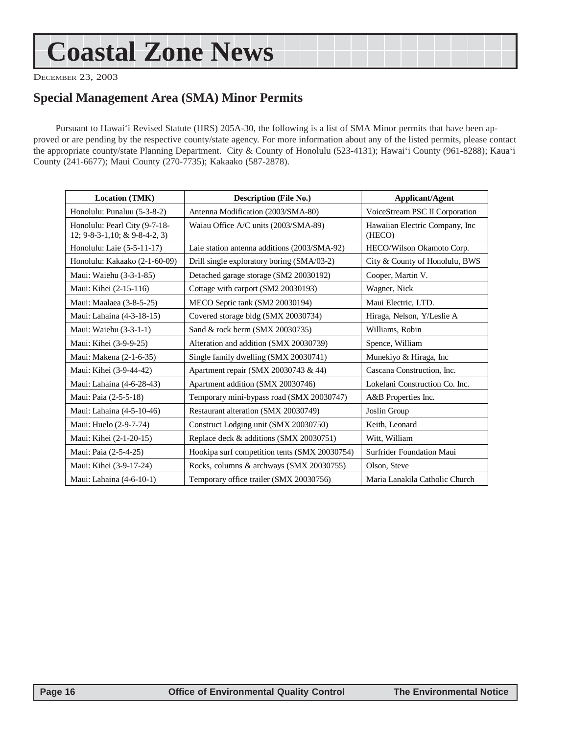## <span id="page-15-0"></span>**Coastal Zone News**

DECEMBER 23, 2003

#### **Special Management Area (SMA) Minor Permits**

Pursuant to Hawai'i Revised Statute (HRS) 205A-30, the following is a list of SMA Minor permits that have been approved or are pending by the respective county/state agency. For more information about any of the listed permits, please contact the appropriate county/state Planning Department. City & County of Honolulu (523-4131); Hawai'i County (961-8288); Kaua'i County (241-6677); Maui County (270-7735); Kakaako (587-2878).

| Location (TMK)                                                  | <b>Description (File No.)</b>                 | <b>Applicant/Agent</b>                    |  |
|-----------------------------------------------------------------|-----------------------------------------------|-------------------------------------------|--|
| Honolulu: Punaluu (5-3-8-2)                                     | Antenna Modification (2003/SMA-80)            | VoiceStream PSC II Corporation            |  |
| Honolulu: Pearl City (9-7-18-<br>12; 9-8-3-1, 10; & 9-8-4-2, 3) | Waiau Office A/C units (2003/SMA-89)          | Hawaiian Electric Company, Inc.<br>(HECO) |  |
| Honolulu: Laie (5-5-11-17)                                      | Laie station antenna additions (2003/SMA-92)  | HECO/Wilson Okamoto Corp.                 |  |
| Honolulu: Kakaako (2-1-60-09)                                   | Drill single exploratory boring (SMA/03-2)    | City & County of Honolulu, BWS            |  |
| Maui: Waiehu (3-3-1-85)                                         | Detached garage storage (SM2 20030192)        | Cooper, Martin V.                         |  |
| Maui: Kihei (2-15-116)                                          | Cottage with carport (SM2 20030193)           | Wagner, Nick                              |  |
| Maui: Maalaea (3-8-5-25)                                        | MECO Septic tank (SM2 20030194)               | Maui Electric, LTD.                       |  |
| Maui: Lahaina (4-3-18-15)                                       | Covered storage bldg (SMX 20030734)           | Hiraga, Nelson, Y/Leslie A                |  |
| Maui: Waiehu (3-3-1-1)                                          | Sand & rock berm (SMX 20030735)               | Williams, Robin                           |  |
| Maui: Kihei (3-9-9-25)                                          | Alteration and addition (SMX 20030739)        | Spence, William                           |  |
| Maui: Makena (2-1-6-35)                                         | Single family dwelling (SMX 20030741)         | Munekiyo & Hiraga, Inc                    |  |
| Maui: Kihei (3-9-44-42)                                         | Apartment repair (SMX 20030743 & 44)          | Cascana Construction, Inc.                |  |
| Maui: Lahaina (4-6-28-43)                                       | Apartment addition (SMX 20030746)             | Lokelani Construction Co. Inc.            |  |
| Maui: Paia (2-5-5-18)                                           | Temporary mini-bypass road (SMX 20030747)     | A&B Properties Inc.                       |  |
| Maui: Lahaina (4-5-10-46)                                       | Restaurant alteration (SMX 20030749)          | Joslin Group                              |  |
| Maui: Huelo (2-9-7-74)                                          | Construct Lodging unit (SMX 20030750)         | Keith, Leonard                            |  |
| Maui: Kihei (2-1-20-15)                                         | Replace deck & additions (SMX 20030751)       | Witt, William                             |  |
| Maui: Paia (2-5-4-25)                                           | Hookipa surf competition tents (SMX 20030754) | Surfrider Foundation Maui                 |  |
| Maui: Kihei (3-9-17-24)                                         | Rocks, columns & archways (SMX 20030755)      | Olson, Steve                              |  |
| Maui: Lahaina (4-6-10-1)                                        | Temporary office trailer (SMX 20030756)       | Maria Lanakila Catholic Church            |  |